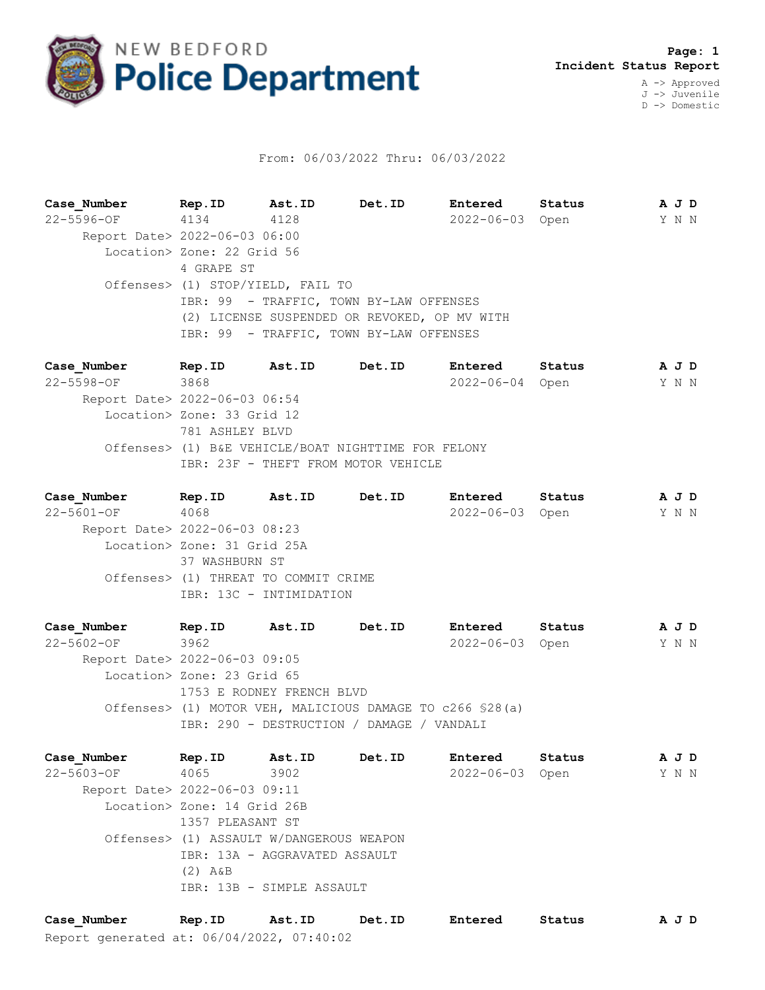

## From: 06/03/2022 Thru: 06/03/2022

**Case\_Number Rep.ID Ast.ID Det.ID Entered Status A J D** 22-5596-OF 4134 4128 2022-06-03 Open Y N N Report Date> 2022-06-03 06:00 Location> Zone: 22 Grid 56 4 GRAPE ST Offenses> (1) STOP/YIELD, FAIL TO IBR: 99 - TRAFFIC, TOWN BY-LAW OFFENSES (2) LICENSE SUSPENDED OR REVOKED, OP MV WITH IBR: 99 - TRAFFIC, TOWN BY-LAW OFFENSES

**Case\_Number Rep.ID Ast.ID Det.ID Entered Status A J D** 22-5598-OF 3868 2022-06-04 Open Y N N Report Date> 2022-06-03 06:54 Location> Zone: 33 Grid 12 781 ASHLEY BLVD Offenses> (1) B&E VEHICLE/BOAT NIGHTTIME FOR FELONY IBR: 23F - THEFT FROM MOTOR VEHICLE

**Case\_Number Rep.ID Ast.ID Det.ID Entered Status A J D** 22-5601-OF 4068 2022-06-03 Open Y N N Report Date> 2022-06-03 08:23 Location> Zone: 31 Grid 25A 37 WASHBURN ST Offenses> (1) THREAT TO COMMIT CRIME IBR: 13C - INTIMIDATION

**Case\_Number Rep.ID Ast.ID Det.ID Entered Status A J D** 22-5602-OF 3962 2022-06-03 Open Y N N Report Date> 2022-06-03 09:05 Location> Zone: 23 Grid 65 1753 E RODNEY FRENCH BLVD Offenses> (1) MOTOR VEH, MALICIOUS DAMAGE TO c266 §28(a) IBR: 290 - DESTRUCTION / DAMAGE / VANDALI

**Case\_Number Rep.ID Ast.ID Det.ID Entered Status A J D** 22-5603-OF 4065 3902 2022-06-03 Open Y N N Report Date> 2022-06-03 09:11 Location> Zone: 14 Grid 26B 1357 PLEASANT ST Offenses> (1) ASSAULT W/DANGEROUS WEAPON IBR: 13A - AGGRAVATED ASSAULT (2) A&B IBR: 13B - SIMPLE ASSAULT

Report generated at: 06/04/2022, 07:40:02 **Case\_Number Rep.ID Ast.ID Det.ID Entered Status A J D**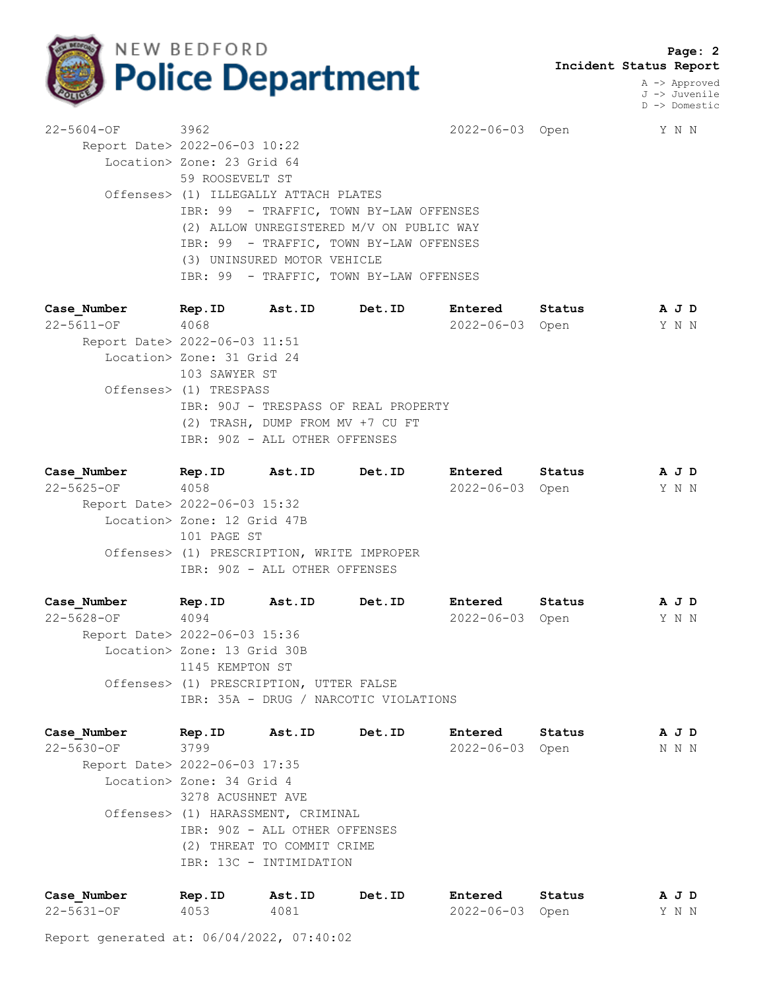

 **Page: 2 Incident Status Report**

> A -> Approved J -> Juvenile D -> Domestic

22-5604-OF 3962 2022-06-03 Open Y N N Report Date> 2022-06-03 10:22 Location> Zone: 23 Grid 64 59 ROOSEVELT ST Offenses> (1) ILLEGALLY ATTACH PLATES IBR: 99 - TRAFFIC, TOWN BY-LAW OFFENSES (2) ALLOW UNREGISTERED M/V ON PUBLIC WAY IBR: 99 - TRAFFIC, TOWN BY-LAW OFFENSES (3) UNINSURED MOTOR VEHICLE IBR: 99 - TRAFFIC, TOWN BY-LAW OFFENSES

**Case\_Number Rep.ID Ast.ID Det.ID Entered Status A J D** 22-5611-OF 4068 2022-06-03 Open Y N N Report Date> 2022-06-03 11:51 Location> Zone: 31 Grid 24 103 SAWYER ST Offenses> (1) TRESPASS IBR: 90J - TRESPASS OF REAL PROPERTY (2) TRASH, DUMP FROM MV +7 CU FT IBR: 90Z - ALL OTHER OFFENSES

**Case\_Number Rep.ID Ast.ID Det.ID Entered Status A J D** 22-5625-OF 4058 2022-06-03 Open Y N N Report Date> 2022-06-03 15:32 Location> Zone: 12 Grid 47B 101 PAGE ST Offenses> (1) PRESCRIPTION, WRITE IMPROPER IBR: 90Z - ALL OTHER OFFENSES

**Case\_Number Rep.ID Ast.ID Det.ID Entered Status A J D** 22-5628-OF 4094 2022-06-03 Open Y N N Report Date> 2022-06-03 15:36 Location> Zone: 13 Grid 30B 1145 KEMPTON ST Offenses> (1) PRESCRIPTION, UTTER FALSE IBR: 35A - DRUG / NARCOTIC VIOLATIONS

**Case\_Number Rep.ID Ast.ID Det.ID Entered Status A J D** 22-5630-OF 3799 2022-06-03 Open N N N Report Date> 2022-06-03 17:35 Location> Zone: 34 Grid 4 3278 ACUSHNET AVE Offenses> (1) HARASSMENT, CRIMINAL IBR: 90Z - ALL OTHER OFFENSES (2) THREAT TO COMMIT CRIME IBR: 13C - INTIMIDATION

| Case Number | Rep.ID | Ast.ID | Det.ID | Entered         | Status | AJD   |  |  |
|-------------|--------|--------|--------|-----------------|--------|-------|--|--|
| 22-5631-OF  | 4053   | 4081   |        | 2022-06-03 Open |        | Y N N |  |  |

Report generated at: 06/04/2022, 07:40:02